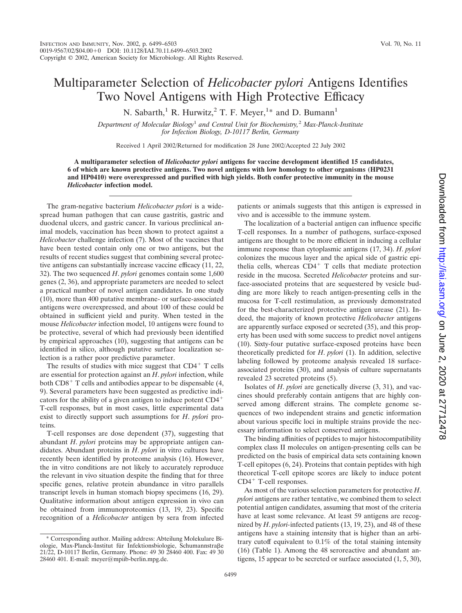## Multiparameter Selection of *Helicobacter pylori* Antigens Identifies Two Novel Antigens with High Protective Efficacy

N. Sabarth,<sup>1</sup> R. Hurwitz,<sup>2</sup> T. F. Meyer,<sup>1\*</sup> and D. Bumann<sup>1</sup>

*Department of Molecular Biology*<sup>1</sup> *and Central Unit for Biochemistry,*<sup>2</sup> *Max-Planck-Institute for Infection Biology, D-10117 Berlin, Germany*

Received 1 April 2002/Returned for modification 28 June 2002/Accepted 22 July 2002

**A multiparameter selection of** *Helicobacter pylori* **antigens for vaccine development identified 15 candidates, 6 of which are known protective antigens. Two novel antigens with low homology to other organisms (HP0231 and HP0410) were overexpressed and purified with high yields. Both confer protective immunity in the mouse** *Helicobacter* **infection model.**

The gram-negative bacterium *Helicobacter pylori* is a widespread human pathogen that can cause gastritis, gastric and duodenal ulcers, and gastric cancer. In various preclinical animal models, vaccination has been shown to protect against a *Helicobacter* challenge infection (7). Most of the vaccines that have been tested contain only one or two antigens, but the results of recent studies suggest that combining several protective antigens can substantially increase vaccine efficacy (11, 22, 32). The two sequenced *H*. *pylori* genomes contain some 1,600 genes (2, 36), and appropriate parameters are needed to select a practical number of novel antigen candidates. In one study (10), more than 400 putative membrane- or surface-associated antigens were overexpressed, and about 100 of these could be obtained in sufficient yield and purity. When tested in the mouse *Helicobacter* infection model, 10 antigens were found to be protective, several of which had previously been identified by empirical approaches (10), suggesting that antigens can be identified in silico, although putative surface localization selection is a rather poor predictive parameter.

The results of studies with mice suggest that  $CD4^+$  T cells are essential for protection against an *H*. *pylori* infection, while both  $CD8<sup>+</sup>$  T cells and antibodies appear to be dispensable (4, 9). Several parameters have been suggested as predictive indicators for the ability of a given antigen to induce potent CD4 T-cell responses, but in most cases, little experimental data exist to directly support such assumptions for *H*. *pylori* proteins.

T-cell responses are dose dependent (37), suggesting that abundant *H*. *pylori* proteins may be appropriate antigen candidates. Abundant proteins in *H*. *pylori* in vitro cultures have recently been identified by proteome analysis (16). However, the in vitro conditions are not likely to accurately reproduce the relevant in vivo situation despite the finding that for three specific genes, relative protein abundance in vitro parallels transcript levels in human stomach biopsy specimens (16, 29). Qualitative information about antigen expression in vivo can be obtained from immunoproteomics (13, 19, 23). Specific recognition of a *Helicobacter* antigen by sera from infected

\* Corresponding author. Mailing address: Abteilung Molekulare Biologie, Max-Planck-Institut für Infektionsbiologie, Schumannstraβe 21/22, D-10117 Berlin, Germany. Phone: 49 30 28460 400. Fax: 49 30 28460 401. E-mail: meyer@mpiib-berlin.mpg.de.

patients or animals suggests that this antigen is expressed in vivo and is accessible to the immune system.

The localization of a bacterial antigen can influence specific T-cell responses. In a number of pathogens, surface-exposed antigens are thought to be more efficient in inducing a cellular immune response than cytoplasmic antigens (17, 34). *H*. *pylori* colonizes the mucous layer and the apical side of gastric epithelia cells, whereas  $CD4^+$  T cells that mediate protection reside in the mucosa. Secreted *Helicobacter* proteins and surface-associated proteins that are sequestered by vesicle budding are more likely to reach antigen-presenting cells in the mucosa for T-cell restimulation, as previously demonstrated for the best-characterized protective antigen urease (21). Indeed, the majority of known protective *Helicobacter* antigens are apparently surface exposed or secreted (35), and this property has been used with some success to predict novel antigens (10). Sixty-four putative surface-exposed proteins have been theoretically predicted for *H*. *pylori* (1). In addition, selective labeling followed by proteome analysis revealed 18 surfaceassociated proteins (30), and analysis of culture supernatants revealed 23 secreted proteins (5).

Isolates of *H*. *pylori* are genetically diverse (3, 31), and vaccines should preferably contain antigens that are highly conserved among different strains. The complete genome sequences of two independent strains and genetic information about various specific loci in multiple strains provide the necessary information to select conserved antigens.

The binding affinities of peptides to major histocompatibility complex class II molecules on antigen-presenting cells can be predicted on the basis of empirical data sets containing known T-cell epitopes (6, 24). Proteins that contain peptides with high theoretical T-cell epitope scores are likely to induce potent  $CD4^+$  T-cell responses.

As most of the various selection parameters for protective *H*. *pylori* antigens are rather tentative, we combined them to select potential antigen candidates, assuming that most of the criteria have at least some relevance. At least 59 antigens are recognized by *H*. *pylori-*infected patients (13, 19, 23), and 48 of these antigens have a staining intensity that is higher than an arbitrary cutoff equivalent to 0.1% of the total staining intensity (16) (Table 1). Among the 48 seroreactive and abundant antigens, 15 appear to be secreted or surface associated (1, 5, 30),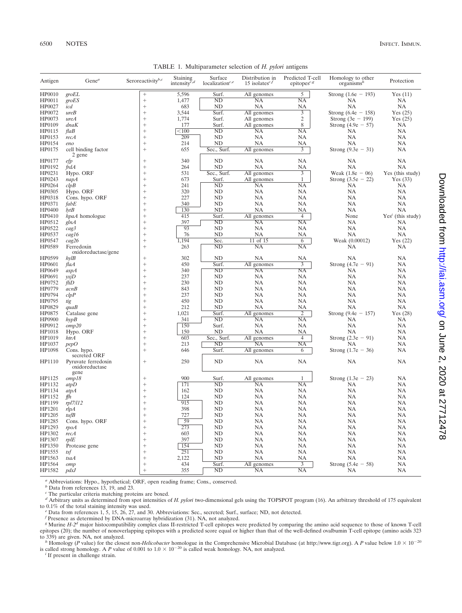| Antigen | $Gene^a$                                      | Seroreactivityb,c | Staining<br>intensity <sup><math>c,d</math></sup> | Surface<br>localization $c.e$ | Distribution in<br>15 isolates <sup>c,f</sup> | Predicted T-cell<br>epitopes <sup><math>c.g</math></sup> | Homology to other<br>organisms <sup>h</sup> | Protection          |
|---------|-----------------------------------------------|-------------------|---------------------------------------------------|-------------------------------|-----------------------------------------------|----------------------------------------------------------|---------------------------------------------|---------------------|
| HP0010  | groEL                                         | $\! + \!\!\!\!$   | 5,596                                             | Surf.                         | All genomes                                   | 5                                                        | Strong $(1.6e - 193)$                       | Yes(11)             |
| HP0011  | groES                                         | $\! + \!\!\!\!$   | 1,477                                             | ND                            | NA                                            | NA                                                       | NA                                          | NA                  |
| HP0027  | icd                                           | $\! + \!\!\!\!$   | 683                                               | ND                            | NA                                            | NA                                                       | <b>NA</b>                                   | NA                  |
| HP0072  | ureB                                          | $^{+}$            | 3,544                                             | Surf.                         | All genomes                                   | 3                                                        | Strong $(6.4e - 158)$                       | Yes $(25)$          |
| HP0073  | ureA                                          | $^{+}$            | 1,774                                             | Surf.                         | All genomes                                   | $\overline{c}$                                           | Strong (3e $-199$ )                         | Yes $(25)$          |
| HP0109  | dnaK                                          | $^{+}$            | 177                                               | Surf.                         | All genomes                                   | 8                                                        | Strong $(4.9e - 57)$                        | NА                  |
| HP0115  | flaB                                          | $^{+}$            | $<$ 100                                           | ND                            | NA                                            | NA                                                       | NA                                          | NA                  |
| HP0153  | recA                                          | $^{+}$            | 209                                               | ND                            | NA                                            | NA                                                       | <b>NA</b>                                   | NA                  |
| HP0154  | eno                                           | $^{+}$            | 214                                               | ND                            | NA                                            | NА                                                       | NA                                          | NA                  |
| HP0175  | cell binding factor<br>2 gene                 | $^{+}$            | 655                                               | Sec., Surf.                   | All genomes                                   | 3                                                        | Strong $(9.3e - 31)$                        | NA                  |
| HP0177  | efp                                           | $^{+}$            | 340                                               | ND                            | NA                                            | NA                                                       | NA                                          | NА                  |
| HP0192  | frdA                                          | $^{+}$            | 264                                               | ND                            | <b>NA</b>                                     | NA                                                       | <b>NA</b>                                   | NA                  |
| HP0231  | Hypo. ORF                                     | $^{+}$            | 531                                               | Sec., Surf.                   | All genomes                                   | 3                                                        | Weak $(1.8e - 06)$                          | Yes (this study)    |
| HP0243  | napA                                          | $^{+}$            | 673                                               | Surf.                         | All genomes                                   | $\mathbf{1}$                                             | Strong $(3.5e - 22)$                        | Yes $(33)$          |
| HP0264  | clpB                                          | $^{+}$            | 241                                               | ND                            | NA                                            | NA                                                       | NA                                          | NA                  |
| HP0305  | Hypo. ORF                                     | $^{+}$            | 320                                               | ND                            | NA                                            | NA                                                       | <b>NA</b>                                   | NA                  |
| HP0318  | Cons. hypo. ORF                               | $^{+}$            | 227                                               | ND                            | NA                                            | NA                                                       | <b>NA</b>                                   | NA                  |
| HP0371  | fabE                                          | $^{+}$            | 340                                               | ND                            | NA                                            | NA                                                       | <b>NA</b>                                   | NA                  |
| HP0400  | lytB                                          | $^{+}$            | 130                                               | ND                            | NA                                            | NA                                                       | <b>NA</b>                                   | NA                  |
| HP0410  | hpaA homologue                                | $^{+}$            | 415                                               | Surf.                         | All genomes                                   | $\overline{4}$                                           | None                                        | $Yes'$ (this study) |
| HP0512  | glnA                                          | $^{+}$            | 397                                               | ND                            | NA                                            | NA                                                       | <b>NA</b>                                   | NA                  |
| HP0522  | cag3                                          | $^{+}$            | 93                                                | ND                            | NA                                            | NA                                                       | <b>NA</b>                                   | NA                  |
| HP0537  | cag16                                         | $^{+}$            | 76                                                | ND                            | NA                                            | NА                                                       | <b>NA</b>                                   | NA                  |
| HP0547  | cag26                                         | $^{+}$            | 1,194                                             | Sec.                          | 11 of 15                                      | 6                                                        | Weak (0.00012)                              | Yes $(22)$          |
| HP0589  | Ferredoxin<br>oxidoreductase/gene             | $^{+}$            | 263                                               | ND                            | <b>NA</b>                                     | NA                                                       | NA                                          | NA                  |
| HP0599  | hvlB                                          | $^{+}$            | 302                                               | ND                            | NA                                            | NА                                                       | NA                                          | NA                  |
| HP0601  | fla A                                         | $^{+}$            | 450                                               | Surf.                         | All genomes                                   | 3                                                        | Strong $(4.7e - 91)$                        | NA                  |
| HP0649  | aspA                                          | $^{+}$            | 340                                               | ND                            | NA                                            | NA                                                       | NA                                          | NA                  |
| HP0691  | yxjD                                          | $^{+}$            | 237                                               | ND                            | NA                                            | NA                                                       | NA                                          | NА                  |
| HP0752  | fliD                                          | $^{+}$            | 230                                               | ND                            | NA                                            | NA                                                       | <b>NA</b>                                   | NA                  |
| HP0779  | acnB                                          | $^{+}$            | 843                                               | ND                            | NA                                            | NA                                                       | <b>NA</b>                                   | NA                  |
| HP0794  | clpP                                          | $^{+}$            | 237                                               | ND                            | NA                                            | NA                                                       | <b>NA</b>                                   | NA                  |
| HP0795  | tig                                           | $^{+}$            | 450                                               | ND                            | NA                                            | NA                                                       | <b>NA</b>                                   | NA                  |
| HP0829  | quaB                                          | $^{+}$            | 212                                               | ND                            | <b>NA</b>                                     | NA                                                       | <b>NA</b>                                   | NA                  |
| HP0875  | Catalase gene                                 | $^{+}$            | 1,021                                             | Surf.                         | All genomes                                   | 2                                                        | Strong $(9.4e - 157)$                       | Yes $(28)$          |
| HP0900  | hypB                                          | $^{+}$            | 341                                               | ND                            | NA                                            | NA                                                       | <b>NA</b>                                   | NA                  |
| HP0912  | omp20                                         | $^{+}$            | 150                                               | Surf.                         | <b>NA</b>                                     | NA                                                       | <b>NA</b>                                   | NA                  |
| HP1018  | Hypo. ORF                                     | $^{+}$            | 150                                               | ND                            | NA                                            | NA                                                       | NA                                          | NА                  |
| HP1019  | htrA                                          | $^{+}$            | 603                                               | Sec., Surf.                   | All genomes                                   | $\overline{4}$                                           | Strong $(2.3e - 91)$                        | NA                  |
| HP1037  | pepO                                          | $^{+}$            | 213                                               | ND                            | NA                                            | NA                                                       | NA                                          | NA                  |
| HP1098  | Cons. hypo.<br>secreted ORF                   | $^{+}$            | 646                                               | Surf.                         | All genomes                                   | 6                                                        | Strong $(1.7e - 36)$                        | NA                  |
| HP1110  | Pyruvate ferredoxin<br>oxidoreductase<br>gene | $^{+}$            | 250                                               | ND                            | NA                                            | NA                                                       | NA                                          | NA                  |
| HP1125  | omp18                                         | $^{+}$            | 900                                               | Surf.                         | All genomes                                   | $\mathbf{1}$                                             | Strong $(1.3e - 23)$                        | NA                  |
| HP1132  | atpD                                          | $^{+}$            | 171                                               | ND                            | NA                                            | NA                                                       | NA                                          | NA                  |
| HP1134  | atpA                                          | $^{+}$            | 162                                               | ND                            | NA                                            | NA                                                       | <b>NA</b>                                   | NA                  |
| HP1152  | ffh                                           | $^{+}$            | 124                                               | ND                            | NA                                            | NA                                                       | <b>NA</b>                                   | NA                  |
| HP1199  | rpl7/l12                                      | $^{+}$            | 915                                               | ND                            | NA                                            | NA                                                       | <b>NA</b>                                   | NA                  |
| HP1201  | rlpA                                          | $^{+}$            | 398                                               | ND                            | NA                                            | NA                                                       | NA                                          | NA                  |
| HP1205  | tufB                                          |                   | 727                                               | ND                            | NA                                            | NA                                                       | NA                                          | NA                  |
| HP1285  | Cons. hypo. ORF                               | $^{+}$            | 59                                                | ND                            | NA                                            | NA                                                       | NA                                          | NA                  |
| HP1293  | rpoA                                          | $^{+}$            | 273                                               | ND                            | NA                                            | NA                                                       | NA                                          | NA                  |
| HP1302  | recA                                          | $^{+}$            | 603                                               | ND                            | NA                                            | NA                                                       | NA                                          | NA                  |
| HP1307  | $m$ IE                                        | $^{+}$            | 397                                               | ND                            | NA                                            | NA                                                       | NA                                          | NA                  |
| HP1350  | Protease gene                                 | $^{+}$            | 154                                               | ND                            | NA                                            | NA                                                       | NA                                          | NA                  |
| HP1555  | tsf                                           | $^{+}$            | 251                                               | ND                            | NA                                            | NA                                                       | NA                                          | NA                  |
| HP1563  | tsaA                                          | $^{+}$            | 2,122                                             | ND                            | NA                                            | NA                                                       | NA                                          | NA                  |
| HP1564  | omp                                           | $^{+}$            | 434                                               | Surf.                         | All genomes                                   | 3                                                        | Strong $(5.4e - 58)$                        | NA                  |
| HP1582  | pdxJ                                          | $^{+}$            | 355                                               | ND                            | NA                                            | NA                                                       | <b>NA</b>                                   | NA                  |
|         |                                               |                   |                                                   |                               |                                               |                                                          |                                             |                     |

TABLE 1. Multiparameter selection of *H. pylori* antigens

*<sup>a</sup>* Abbreviations: Hypo., hypothetical; ORF, open reading frame; Cons., conserved.

*b* Data from references 13, 19, and 23.

*<sup>c</sup>* The particular criteria matching proteins are boxed.

*d* Arbitrary units as determined from spot intensities of *H. pylori* two-dimensional gels using the TOPSPOT program (16). An arbitrary threshold of 175 equivalent to 0.1% of the total staining intensity was used.

<sup>e</sup> Data from references 1, 5, 15, 26, 27, and 30. Abbreviations: Sec., secreted; Surf., surface; ND, not detected.

Fresence as determined by DNA-microarray hybridization (31). NA, not analyzed.<br><sup>8</sup> Murine H-2<sup>d</sup> major histocompatibility complex class II-restricted T-cell epitopes were predicted by comparing the amino acid sequence to t epitopes (20); the number of nonoverlapping epitopes with a predicted score equal or higher than that of the well-defined ovalbumin T-cell epitope (amino acids 323

to 339) are given. NA, not analyzed.<br><sup>*h*</sup> Homology (*P* value) for the closest non-*Helicobacter* homologue in the Comprehensive Microbial Database (at http://www.tigr.org). A *P* value below 1.0 × 10<sup>-20</sup> is called strong homology. A *P* value of 0.001 to  $1.0 \times 10^{-20}$  is called weak homology. NA, not analyzed. *i* If present in challenge strain

 $'$  If present in challenge strain.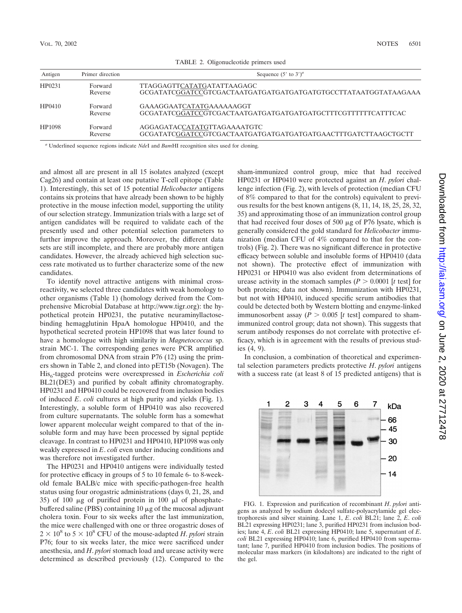| Antigen | Primer direction   | Sequence $(5'$ to $3')^a$                                                                    |  |  |  |  |  |  |
|---------|--------------------|----------------------------------------------------------------------------------------------|--|--|--|--|--|--|
| HP0231  | Forward<br>Reverse | TTAGGAGTTCATATGATATTAAGAGC<br>GCGATATCGGATCCGTCGACTAATGATGATGATGATGATGTGCCTTATAATGGTATAAGAAA |  |  |  |  |  |  |
| HP0410  | Forward<br>Reverse | GAAAGGAATCATATGAAAAAAGGT<br>GCGATATCGGATCCGTCGACTAATGATGATGATGATGATGCTTTCGTTTTTCATTTCAC      |  |  |  |  |  |  |
| HP1098  | Forward<br>Reverse | AGGAGATACCATATGTTAGAAAATGTC<br>GCGATATCGGATCCGTCGACTAATGATGATGATGATGATGAACTTTGATCTTAAGCTGCTT |  |  |  |  |  |  |

TABLE 2. Oligonucleotide primers used

*<sup>a</sup>* Underlined sequence regions indicate *Nde*I and *Bam*HI recognition sites used for cloning.

and almost all are present in all 15 isolates analyzed (except Cag26) and contain at least one putative T-cell epitope (Table 1). Interestingly, this set of 15 potential *Helicobacter* antigens contains six proteins that have already been shown to be highly protective in the mouse infection model, supporting the utility of our selection strategy. Immunization trials with a large set of antigen candidates will be required to validate each of the presently used and other potential selection parameters to further improve the approach. Moreover, the different data sets are still incomplete, and there are probably more antigen candidates. However, the already achieved high selection success rate motivated us to further characterize some of the new candidates.

To identify novel attractive antigens with minimal crossreactivity, we selected three candidates with weak homology to other organisms (Table 1) (homology derived from the Comprehensive Microbial Database at http://www.tigr.org): the hypothetical protein HP0231, the putative neuraminyllactosebinding hemagglutinin HpaA homologue HP0410, and the hypothetical secreted protein HP1098 that was later found to have a homologue with high similarity in *Magnetococcus* sp. strain MC-1. The corresponding genes were PCR amplified from chromosomal DNA from strain P76 (12) using the primers shown in Table 2, and cloned into pET15b (Novagen). The His<sub>6</sub>-tagged proteins were overexpressed in *Escherichia coli* BL21(DE3) and purified by cobalt affinity chromatography. HP0231 and HP0410 could be recovered from inclusion bodies of induced *E*. *coli* cultures at high purity and yields (Fig. 1). Interestingly, a soluble form of HP0410 was also recovered from culture supernatants. The soluble form has a somewhat lower apparent molecular weight compared to that of the insoluble form and may have been processed by signal peptide cleavage. In contrast to HP0231 and HP0410, HP1098 was only weakly expressed in *E*. *coli* even under inducing conditions and was therefore not investigated further.

The HP0231 and HP0410 antigens were individually tested for protective efficacy in groups of 5 to 10 female 6- to 8-weekold female BALB/c mice with specific-pathogen-free health status using four orogastric administrations (days 0, 21, 28, and 35) of 100  $\mu$ g of purified protein in 100  $\mu$ l of phosphatebuffered saline (PBS) containing  $10 \mu$ g of the mucosal adjuvant cholera toxin. Four to six weeks after the last immunization, the mice were challenged with one or three orogastric doses of  $2 \times 10^8$  to  $5 \times 10^8$  CFU of the mouse-adapted *H*. *pylori* strain P76; four to six weeks later, the mice were sacrificed under anesthesia, and *H*. *pylori* stomach load and urease activity were determined as described previously (12). Compared to the sham-immunized control group, mice that had received HP0231 or HP0410 were protected against an *H*. *pylori* challenge infection (Fig. 2), with levels of protection (median CFU of 8% compared to that for the controls) equivalent to previous results for the best known antigens (8, 11, 14, 18, 25, 28, 32, 35) and approximating those of an immunization control group that had received four doses of 500  $\mu$ g of P76 lysate, which is generally considered the gold standard for *Helicobacter* immunization (median CFU of 4% compared to that for the controls) (Fig. 2). There was no significant difference in protective efficacy between soluble and insoluble forms of HP0410 (data not shown). The protective effect of immunization with HP0231 or HP0410 was also evident from determinations of urease activity in the stomach samples  $(P > 0.0001$  [*t* test] for both proteins; data not shown). Immunization with HP0231, but not with HP0410, induced specific serum antibodies that could be detected both by Western blotting and enzyme-linked immunosorbent assay  $(P > 0.005$  [t test] compared to shamimmunized control group; data not shown). This suggests that serum antibody responses do not correlate with protective efficacy, which is in agreement with the results of previous studies (4, 9).

In conclusion, a combination of theoretical and experimental selection parameters predicts protective *H*. *pylori* antigens with a success rate (at least 8 of 15 predicted antigens) that is



FIG. 1. Expression and purification of recombinant *H*. *pylori* antigens as analyzed by sodium dodecyl sulfate-polyacrylamide gel electrophoresis and silver staining. Lane 1, *E*. *coli* BL21; lane 2, *E*. *coli* BL21 expressing HP0231; lane 3, purified HP0231 from inclusion bodies; lane 4, *E*. *coli* BL21 expressing HP0410; lane 5, supernatant of *E*. *coli* BL21 expressing HP0410; lane 6, purified HP0410 from supernatant; lane 7, purified HP0410 from inclusion bodies. The positions of molecular mass markers (in kilodaltons) are indicated to the right of the gel.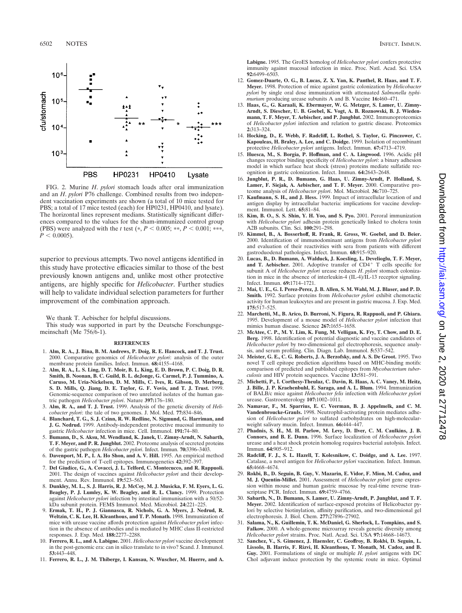

FIG. 2. Murine *H*. *pylori* stomach loads after oral immunization and an *H*. *pylori* P76 challenge. Combined results from two independent vaccination experiments are shown (a total of 10 mice tested for PBS; a total of 17 mice tested (each) for HP0231, HP0410, and lysate). The horizontal lines represent medians. Statistically significant differences compared to the values for the sham-immunized control group (PBS) were analyzed with the *t* test  $(*, P < 0.005; **, P < 0.001; **$ ,  $P < 0.0005$ ).

superior to previous attempts. Two novel antigens identified in this study have protective efficacies similar to those of the best previously known antigens and, unlike most other protective antigens, are highly specific for *Helicobacter*. Further studies will help to validate individual selection parameters for further improvement of the combination approach.

We thank T. Aebischer for helpful discussions.

This study was supported in part by the Deutsche Forschungsgemeinschaft (Me 756/6-1).

## **REFERENCES**

- 1. **Alm, R. A., J. Bina, B. M. Andrews, P. Doig, R. E. Hancock, and T. J. Trust.** 2000. Comparative genomics of *Helicobacter pylori*: analysis of the outer membrane protein families. Infect. Immun. **68:**4155–4168.
- 2. **Alm, R. A., L. S. Ling, D. T. Moir, B. L. King, E. D. Brown, P. C. Doig, D. R. Smith, B. Noonan, B. C. Guild, B. L. deJonge, G. Carmel, P. J. Tummino, A. Caruso, M. Uria-Nickelsen, D. M. Mills, C. Ives, R. Gibson, D. Merberg, S. D. Mills, Q. Jiang, D. E. Taylor, G. F. Vovis, and T. J. Trust.** 1999. Genomic-sequence comparison of two unrelated isolates of the human gastric pathogen *Helicobacter pylori*. Nature **397:**176–180.
- 3. **Alm, R. A., and T. J. Trust.** 1999. Analysis of the genetic diversity of *Helicobacter pylori*: the tale of two genomes. J. Mol. Med. **77:**834–846.
- 4. **Blanchard, T. G., S. J. Czinn, R. W. Redline, N. Sigmund, G. Harriman, and J. G. Nedrud.** 1999. Antibody-independent protective mucosal immunity to gastric *Helicobacter* infection in mice. Cell. Immunol. **191:**74–80.
- 5. **Bumann, D., S. Aksu, M. Wendland, K. Janek, U. Zimny-Arndt, N. Sabarth, T. F. Meyer, and P. R. Jungblut.** 2002. Proteome analysis of secreted proteins of the gastric pathogen *Helicobacter pylori*. Infect. Immun. **70:**3396–3403.
- 6. **Davenport, M. P., I. A. Ho Shon, and A. V. Hill.** 1995. An empirical method for the prediction of T-cell epitopes. Immunogenetics **42:**392–397.
- 7. **Del Giudice, G., A. Covacci, J. L. Telford, C. Montecucco, and R. Rappuoli.** 2001. The design of vaccines against *Helicobacter pylori* and their development. Annu. Rev. Immunol. **19:**523–563.
- 8. **Dunkley, M. L., S. J. Harris, R. J. McCoy, M. J. Musicka, F. M. Eyers, L. G. Beagley, P. J. Lumley, K. W. Beagley, and R. L. Clancy.** 1999. Protection against *Helicobacter pylori* infection by intestinal immunisation with a 50/52 kDa subunit protein. FEMS Immunol. Med. Microbiol. **24:**221–225.
- 9. **Ermak, T. H., P. J. Giannasca, R. Nichols, G. A. Myers, J. Nedrud, R. Weltzin, C. K. Lee, H. Kleanthous, and T. P. Monath.** 1998. Immunization of mice with urease vaccine affords protection against *Helicobacter pylori* infection in the absence of antibodies and is mediated by MHC class II-restricted responses. J. Exp. Med. **188:**2277–2288.
- 10. **Ferrero, R. L., and A. Labigne.** 2001. *Helicobacter pylori* vaccine development in the post-genomic era: can in silico translate to in vivo? Scand. J. Immunol. **53:**443–448.
- 11. **Ferrero, R. L., J. M. Thiberge, I. Kansau, N. Wuscher, M. Huerre, and A.**

**Labigne.** 1995. The GroES homolog of *Helicobacter pylori* confers protective immunity against mucosal infection in mice. Proc. Natl. Acad. Sci. USA **92:**6499–6503.

- 12. **Gomez-Duarte, O. G., B. Lucas, Z. X. Yan, K. Panthel, R. Haas, and T. F. Meyer.** 1998. Protection of mice against gastric colonization by *Helicobacter pylori* by single oral dose immunization with attenuated *Salmonella typhimurium* producing urease subunits A and B. Vaccine **16:**460–471.
- 13. **Haas, G., G. Karaali, K. Ebermayer, W. G. Metzger, S. Lamer, U. Zimny-Arndt, S. Diescher, U. B. Goebel, K. Vogt, A. B. Roznowski, B. J. Wiedenmann, T. F. Meyer, T. Aebischer, and P. Jungblut.** 2002. Immunoproteomics of *Helicobacter pylori* infection and relation to gastric disease. Proteomics **2:**313–324.
- 14. **Hocking, D., E. Webb, F. Radcliff, L. Rothel, S. Taylor, G. Pinczower, C. Kapouleas, H. Braley, A. Lee, and C. Doidge.** 1999. Isolation of recombinant protective *Helicobacter pylori* antigens. Infect. Immun. **67:**4713–4719.
- 15. **Huesca, M., S. Borgia, P. Hoffman, and C. A. Lingwood.** 1996. Acidic pH changes receptor binding specificity of *Helicobacter pylori*: a binary adhesion model in which surface heat shock (stress) proteins mediate sulfatide recognition in gastric colonization. Infect. Immun. **64:**2643–2648.
- 16. **Jungblut, P. R., D. Bumann, G. Haas, U. Zimny-Arndt, P. Holland, S. Lamer, F. Siejak, A. Aebischer, and T. F. Meyer.** 2000. Comparative proteome analysis of *Helicobacter pylori*. Mol. Microbiol. **36:**710–725.
- 17. **Kaufmann, S. H., and J. Hess.** 1999. Impact of intracellular location of and antigen display by intracellular bacteria: implications for vaccine development. Immunol. Lett. **65:**81–84.
- 18. **Kim, B. O., S. S. Shin, Y. H. Yoo, and S. Pyo.** 2001. Peroral immunization with *Helicobacter pylori* adhesin protein genetically linked to cholera toxin A2B subunits. Clin. Sci. **100:**291–298.
- 19. **Kimmel, B., A. Bosserhoff, R. Frank, R. Gross, W. Goebel, and D. Beier.** 2000. Identification of immunodominant antigens from *Helicobacter pylori* and evaluation of their reactivities with sera from patients with different gastroduodenal pathologies. Infect. Immun. **68:**915–920.
- 20. **Lucas, B., D. Bumann, A. Walduck, J. Koesling, L. Develioglu, T. F. Meyer,** and T. Aebischer. 2001. Adoptive transfer of CD4<sup>+</sup> T cells specific for subunit A of *Helicobacter pylori* urease reduces *H*. *pylori* stomach colonization in mice in the absence of interleukin-4 (IL-4)/IL-13 receptor signaling. Infect. Immun. **69:**1714–1721.
- 21. **Mai, U. E., G. I. Perez-Perez, J. B. Allen, S. M. Wahl, M. J. Blaser, and P. D. Smith.** 1992. Surface proteins from *Helicobacter pylori* exhibit chemotactic activity for human leukocytes and are present in gastric mucosa. J. Exp. Med. **175:**517–525.
- 22. **Marchetti, M., B. Arico, D. Burroni, N. Figura, R. Rappuoli, and P. Ghiara.** 1995. Development of a mouse model of *Helicobacter pylori* infection that mimics human disease. Science **267:**1655–1658.
- 23. **McAtee, C. P., M. Y. Lim, K. Fung, M. Velligan, K. Fry, T. Chow, and D. E. Berg.** 1998. Identification of potential diagnostic and vaccine candidates of *Helicobacter pylori* by two-dimensional gel electrophoresis, sequence analysis, and serum profiling. Clin. Diagn. Lab. Immunol. **5:**537–542.
- 24. **Meister, G. E., C. G. Roberts, J. A. Berzofsky, and A. S. De Groot.** 1995. Two novel T cell epitope prediction algorithms based on MHC-binding motifs: comparison of predicted and published epitopes from *Mycobacterium tuberculosis* and HIV protein sequences. Vaccine **13:**581–591.
- 25. **Michetti, P., I. Corthesy-Theulaz, C. Davin, R. Haas, A. C. Vaney, M. Heitz, J. Bille, J. P. Kraehenbuhl, E. Saraga, and A. L. Blum.** 1994. Immunization of BALB/c mice against *Helicobacter felis* infection with *Helicobacter pylori* urease. Gastroenterology **107:**1002–1011.
- 26. **Namavar, F., M. Sparrius, E. C. Veerman, B. J. Appelmelk, and C. M. Vandenbroucke-Grauls.** 1998. Neutrophil-activating protein mediates adhesion of *Helicobacter pylori* to sulfated carbohydrates on high-molecularweight salivary mucin. Infect. Immun. **66:**444–447.
- 27. **Phadnis, S. H., M. H. Parlow, M. Levy, D. Ilver, C. M. Caulkins, J. B. Connors, and B. E. Dunn.** 1996. Surface localization of *Helicobacter pylori* urease and a heat shock protein homolog requires bacterial autolysis. Infect. Immun. **64:**905–912.
- 28. **Radcliff, F. J., S. L. Hazell, T. Kolesnikow, C. Doidge, and A. Lee.** 1997. Catalase, a novel antigen for *Helicobacter pylori* vaccination. Infect. Immun. **65:**4668–4674.
- 29. **Rokbi, B., D. Seguin, B. Guy, V. Mazarin, E. Vidor, F. Mion, M. Cadoz, and M. J. Quentin-Millet.** 2001. Assessment of *Helicobacter pylori* gene expression within mouse and human gastric mucosae by real-time reverse transcriptase PCR. Infect. Immun. **69:**4759–4766.
- 30. **Sabarth, N., D. Bumann, S. Lamer, U. Zimny-Arndt, P. Jungblut, and T. F. Meyer.** 2002. Identification of surface-exposed proteins of Helicobacter pylori by selective biotinylation, affinity purification, and two-dimensional gel electrophoresis. J. Biol. Chem. **277:**27896–27902.
- 31. **Salama, N., K. Guillemin, T. K. McDaniel, G. Sherlock, L. Tompkins, and S. Falkow.** 2000. A whole-genome microarray reveals genetic diversity among *Helicobacter pylori* strains. Proc. Natl. Acad. Sci. USA **97:**14668–14673.
- 32. **Sanchez, V., S. Gimenez, J. Haensler, C. Geoffroy, B. Rokbi, D. Seguin, L. Lissolo, B. Harris, F. Rizvi, H. Kleanthous, T. Monath, M. Cadoz, and B. Guy.** 2001. Formulations of single or multiple *H*. *pylori* antigens with DC Chol adjuvant induce protection by the systemic route in mice. Optimal